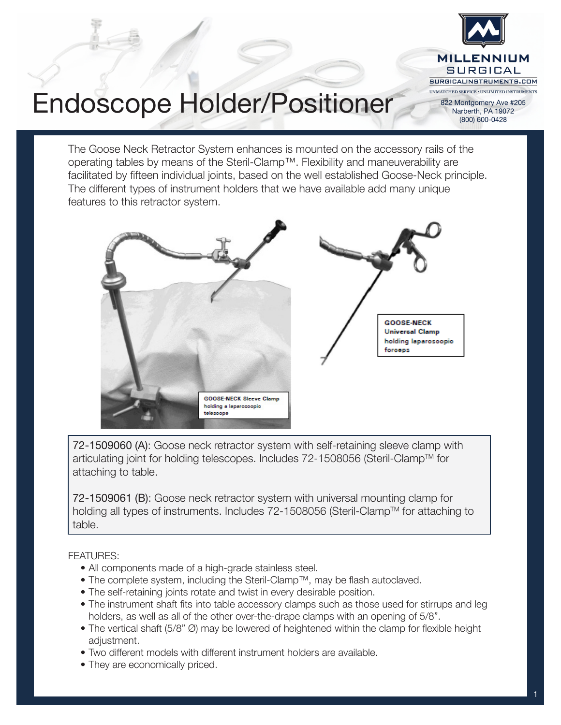

## Endoscope Holder/Positioner

The Goose Neck Retractor System enhances is mounted on the accessory rails of the operating tables by means of the Steril-Clamp™. Flexibility and maneuverability are facilitated by fifteen individual joints, based on the well established Goose-Neck principle. The different types of instrument holders that we have available add many unique features to this retractor system.



72-1509060 (A): Goose neck retractor system with self-retaining sleeve clamp with articulating joint for holding telescopes. Includes 72-1508056 (Steril-Clamp™ for attaching to table.

72-1509061 (B): Goose neck retractor system with universal mounting clamp for holding all types of instruments. Includes 72-1508056 (Steril-Clamp™ for attaching to table.

### FEATURES:

- All components made of a high-grade stainless steel.
- The complete system, including the Steril-Clamp™, may be flash autoclaved.
- The self-retaining joints rotate and twist in every desirable position.
- The instrument shaft fits into table accessory clamps such as those used for stirrups and leg holders, as well as all of the other over-the-drape clamps with an opening of 5/8".
- The vertical shaft (5/8" Ø) may be lowered of heightened within the clamp for flexible height adjustment.
- Two different models with different instrument holders are available.
- They are economically priced.